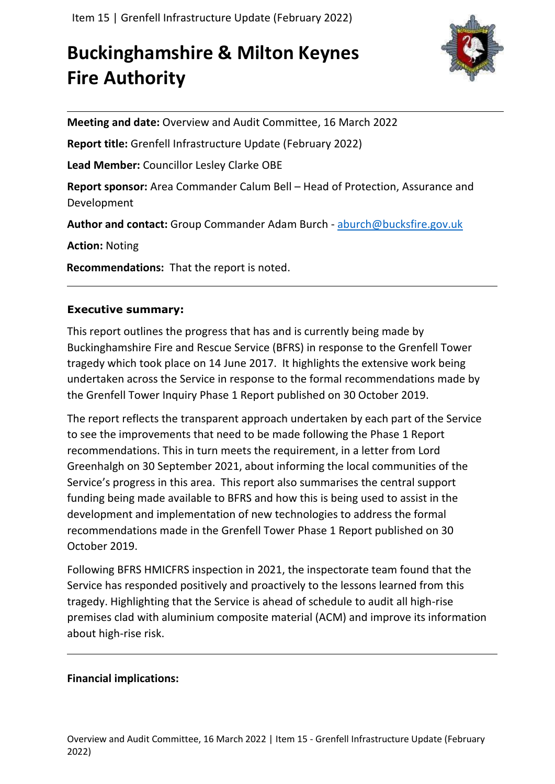# **Buckinghamshire & Milton Keynes Fire Authority**



**Meeting and date:** Overview and Audit Committee, 16 March 2022

**Report title:** Grenfell Infrastructure Update (February 2022)

**Lead Member:** Councillor Lesley Clarke OBE

**Report sponsor:** Area Commander Calum Bell – Head of Protection, Assurance and Development

**Author and contact:** Group Commander Adam Burch - [aburch@bucksfire.gov.uk](mailto:aburch@bucksfire.gov.uk)

**Action:** Noting

**Recommendations:** That the report is noted.

## **Executive summary:**

This report outlines the progress that has and is currently being made by Buckinghamshire Fire and Rescue Service (BFRS) in response to the Grenfell Tower tragedy which took place on 14 June 2017. It highlights the extensive work being undertaken across the Service in response to the formal recommendations made by the Grenfell Tower Inquiry Phase 1 Report published on 30 October 2019.

The report reflects the transparent approach undertaken by each part of the Service to see the improvements that need to be made following the Phase 1 Report recommendations. This in turn meets the requirement, in a letter from Lord Greenhalgh on 30 September 2021, about informing the local communities of the Service's progress in this area. This report also summarises the central support funding being made available to BFRS and how this is being used to assist in the development and implementation of new technologies to address the formal recommendations made in the Grenfell Tower Phase 1 Report published on 30 October 2019.

Following BFRS HMICFRS inspection in 2021, the inspectorate team found that the Service has responded positively and proactively to the lessons learned from this tragedy. Highlighting that the Service is ahead of schedule to audit all high-rise premises clad with aluminium composite material (ACM) and improve its information about high-rise risk.

### **Financial implications:**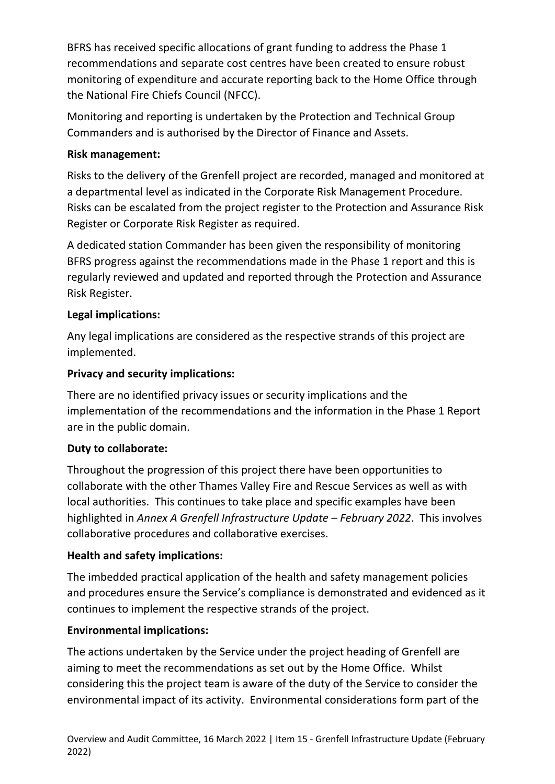BFRS has received specific allocations of grant funding to address the Phase 1 recommendations and separate cost centres have been created to ensure robust monitoring of expenditure and accurate reporting back to the Home Office through the National Fire Chiefs Council (NFCC).

Monitoring and reporting is undertaken by the Protection and Technical Group Commanders and is authorised by the Director of Finance and Assets.

# **Risk management:**

Risks to the delivery of the Grenfell project are recorded, managed and monitored at a departmental level as indicated in the Corporate Risk Management Procedure. Risks can be escalated from the project register to the Protection and Assurance Risk Register or Corporate Risk Register as required.

A dedicated station Commander has been given the responsibility of monitoring BFRS progress against the recommendations made in the Phase 1 report and this is regularly reviewed and updated and reported through the Protection and Assurance Risk Register.

# **Legal implications:**

Any legal implications are considered as the respective strands of this project are implemented.

## **Privacy and security implications:**

There are no identified privacy issues or security implications and the implementation of the recommendations and the information in the Phase 1 Report are in the public domain.

### **Duty to collaborate:**

Throughout the progression of this project there have been opportunities to collaborate with the other Thames Valley Fire and Rescue Services as well as with local authorities. This continues to take place and specific examples have been highlighted in *Annex A Grenfell Infrastructure Update – February 2022*. This involves collaborative procedures and collaborative exercises.

# **Health and safety implications:**

The imbedded practical application of the health and safety management policies and procedures ensure the Service's compliance is demonstrated and evidenced as it continues to implement the respective strands of the project.

# **Environmental implications:**

The actions undertaken by the Service under the project heading of Grenfell are aiming to meet the recommendations as set out by the Home Office. Whilst considering this the project team is aware of the duty of the Service to consider the environmental impact of its activity. Environmental considerations form part of the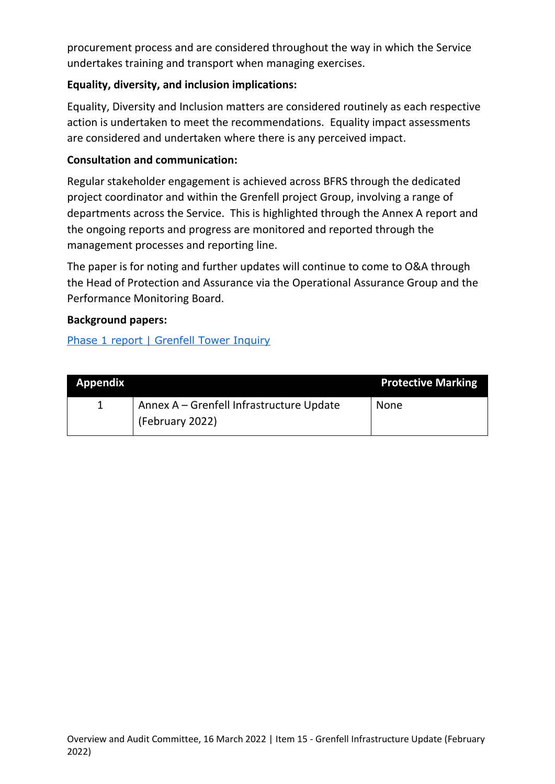procurement process and are considered throughout the way in which the Service undertakes training and transport when managing exercises.

### **Equality, diversity, and inclusion implications:**

Equality, Diversity and Inclusion matters are considered routinely as each respective action is undertaken to meet the recommendations. Equality impact assessments are considered and undertaken where there is any perceived impact.

### **Consultation and communication:**

Regular stakeholder engagement is achieved across BFRS through the dedicated project coordinator and within the Grenfell project Group, involving a range of departments across the Service. This is highlighted through the Annex A report and the ongoing reports and progress are monitored and reported through the management processes and reporting line.

The paper is for noting and further updates will continue to come to O&A through the Head of Protection and Assurance via the Operational Assurance Group and the Performance Monitoring Board.

### **Background papers:**

[Phase 1 report | Grenfell Tower Inquiry](https://www.grenfelltowerinquiry.org.uk/phase-1-report)

| <b>Appendix</b> |                                          | <b>Protective Marking</b> |
|-----------------|------------------------------------------|---------------------------|
|                 | Annex A – Grenfell Infrastructure Update | <b>None</b>               |
|                 | (February 2022)                          |                           |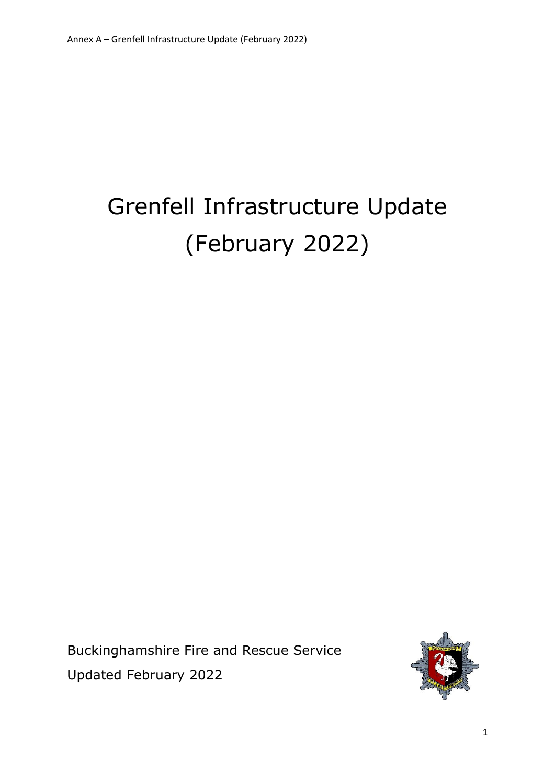# Grenfell Infrastructure Update (February 2022)

Buckinghamshire Fire and Rescue Service Updated February 2022

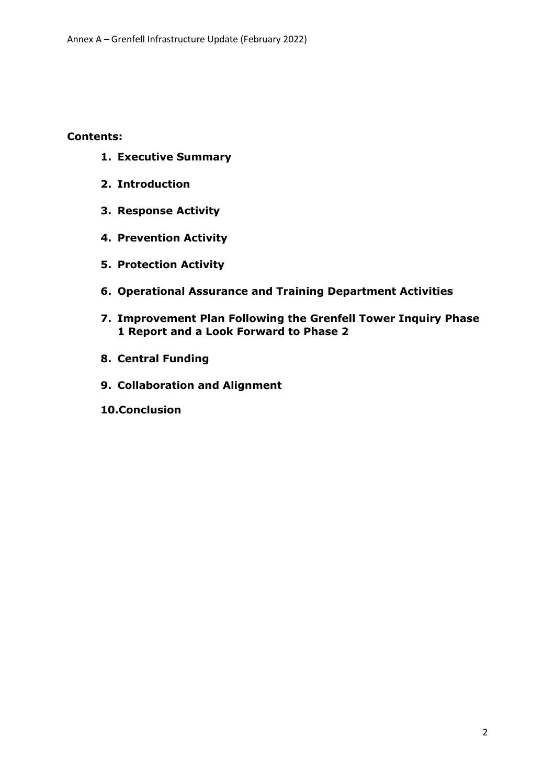**Contents:**

- **1. Executive Summary**
- **2. Introduction**
- **3. Response Activity**
- **4. Prevention Activity**
- **5. Protection Activity**
- **6. Operational Assurance and Training Department Activities**
- **7. Improvement Plan Following the Grenfell Tower Inquiry Phase 1 Report and a Look Forward to Phase 2**
- **8. Central Funding**
- **9. Collaboration and Alignment**
- **10.Conclusion**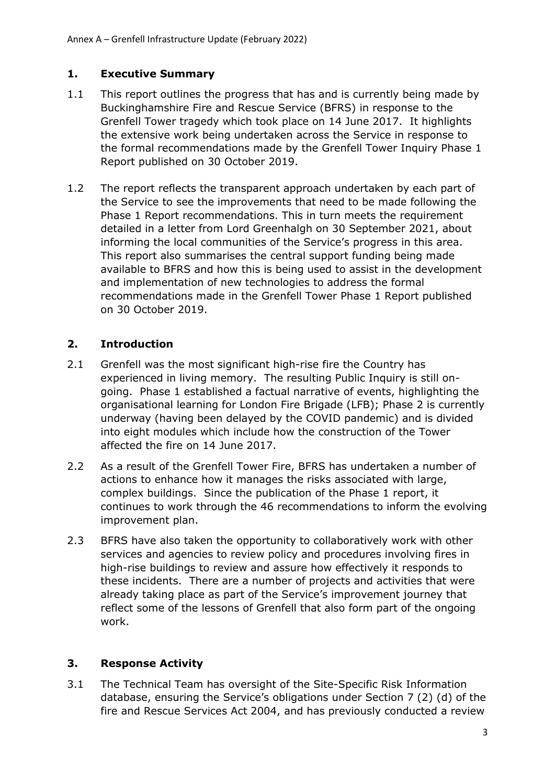### **1. Executive Summary**

- 1.1 This report outlines the progress that has and is currently being made by Buckinghamshire Fire and Rescue Service (BFRS) in response to the Grenfell Tower tragedy which took place on 14 June 2017. It highlights the extensive work being undertaken across the Service in response to the formal recommendations made by the Grenfell Tower Inquiry Phase 1 Report published on 30 October 2019.
- 1.2 The report reflects the transparent approach undertaken by each part of the Service to see the improvements that need to be made following the Phase 1 Report recommendations. This in turn meets the requirement detailed in a letter from Lord Greenhalgh on 30 September 2021, about informing the local communities of the Service's progress in this area. This report also summarises the central support funding being made available to BFRS and how this is being used to assist in the development and implementation of new technologies to address the formal recommendations made in the Grenfell Tower Phase 1 Report published on 30 October 2019.

## **2. Introduction**

- 2.1 Grenfell was the most significant high-rise fire the Country has experienced in living memory. The resulting Public Inquiry is still ongoing. Phase 1 established a factual narrative of events, highlighting the organisational learning for London Fire Brigade (LFB); Phase 2 is currently underway (having been delayed by the COVID pandemic) and is divided into eight modules which include how the construction of the Tower affected the fire on 14 June 2017.
- 2.2 As a result of the Grenfell Tower Fire, BFRS has undertaken a number of actions to enhance how it manages the risks associated with large, complex buildings. Since the publication of the Phase 1 report, it continues to work through the 46 recommendations to inform the evolving improvement plan.
- 2.3 BFRS have also taken the opportunity to collaboratively work with other services and agencies to review policy and procedures involving fires in high-rise buildings to review and assure how effectively it responds to these incidents. There are a number of projects and activities that were already taking place as part of the Service's improvement journey that reflect some of the lessons of Grenfell that also form part of the ongoing work.

# **3. Response Activity**

3.1 The Technical Team has oversight of the Site-Specific Risk Information database, ensuring the Service's obligations under Section 7 (2) (d) of the fire and Rescue Services Act 2004, and has previously conducted a review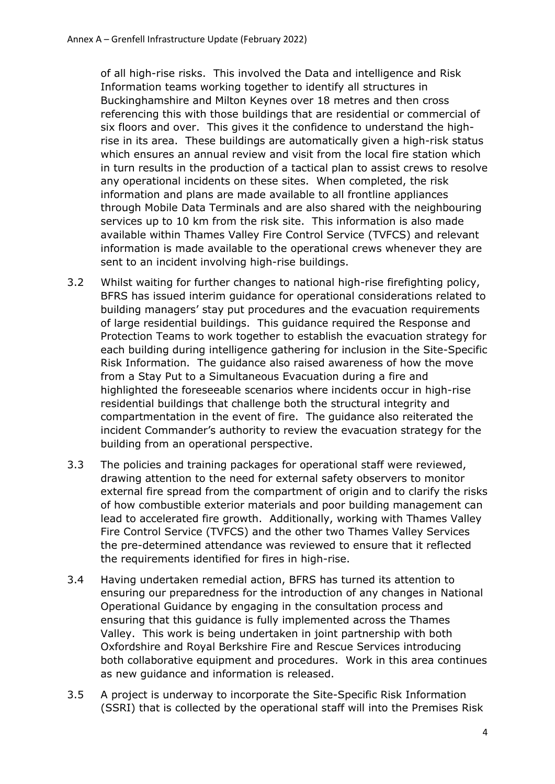of all high-rise risks. This involved the Data and intelligence and Risk Information teams working together to identify all structures in Buckinghamshire and Milton Keynes over 18 metres and then cross referencing this with those buildings that are residential or commercial of six floors and over. This gives it the confidence to understand the highrise in its area. These buildings are automatically given a high-risk status which ensures an annual review and visit from the local fire station which in turn results in the production of a tactical plan to assist crews to resolve any operational incidents on these sites. When completed, the risk information and plans are made available to all frontline appliances through Mobile Data Terminals and are also shared with the neighbouring services up to 10 km from the risk site. This information is also made available within Thames Valley Fire Control Service (TVFCS) and relevant information is made available to the operational crews whenever they are sent to an incident involving high-rise buildings.

- 3.2 Whilst waiting for further changes to national high-rise firefighting policy, BFRS has issued interim guidance for operational considerations related to building managers' stay put procedures and the evacuation requirements of large residential buildings. This guidance required the Response and Protection Teams to work together to establish the evacuation strategy for each building during intelligence gathering for inclusion in the Site-Specific Risk Information. The guidance also raised awareness of how the move from a Stay Put to a Simultaneous Evacuation during a fire and highlighted the foreseeable scenarios where incidents occur in high-rise residential buildings that challenge both the structural integrity and compartmentation in the event of fire. The guidance also reiterated the incident Commander's authority to review the evacuation strategy for the building from an operational perspective.
- 3.3 The policies and training packages for operational staff were reviewed, drawing attention to the need for external safety observers to monitor external fire spread from the compartment of origin and to clarify the risks of how combustible exterior materials and poor building management can lead to accelerated fire growth. Additionally, working with Thames Valley Fire Control Service (TVFCS) and the other two Thames Valley Services the pre-determined attendance was reviewed to ensure that it reflected the requirements identified for fires in high-rise.
- 3.4 Having undertaken remedial action, BFRS has turned its attention to ensuring our preparedness for the introduction of any changes in National Operational Guidance by engaging in the consultation process and ensuring that this guidance is fully implemented across the Thames Valley. This work is being undertaken in joint partnership with both Oxfordshire and Royal Berkshire Fire and Rescue Services introducing both collaborative equipment and procedures. Work in this area continues as new guidance and information is released.
- 3.5 A project is underway to incorporate the Site-Specific Risk Information (SSRI) that is collected by the operational staff will into the Premises Risk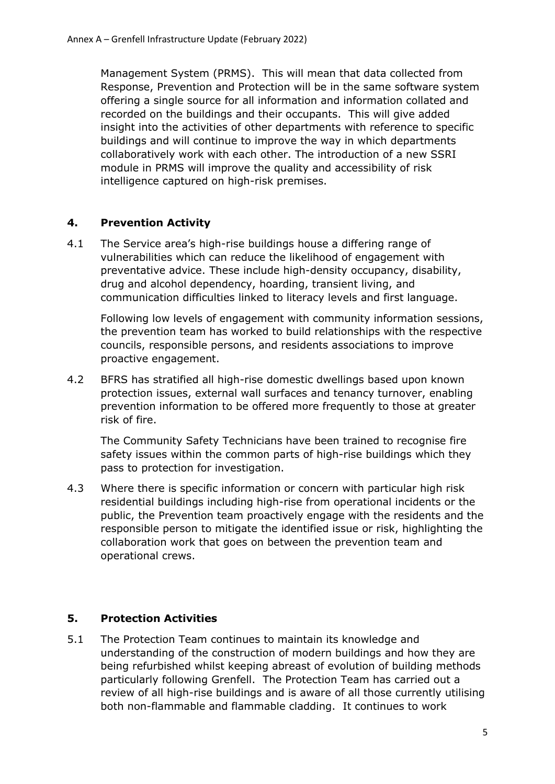Management System (PRMS). This will mean that data collected from Response, Prevention and Protection will be in the same software system offering a single source for all information and information collated and recorded on the buildings and their occupants. This will give added insight into the activities of other departments with reference to specific buildings and will continue to improve the way in which departments collaboratively work with each other. The introduction of a new SSRI module in PRMS will improve the quality and accessibility of risk intelligence captured on high-risk premises.

## **4. Prevention Activity**

4.1 The Service area's high-rise buildings house a differing range of vulnerabilities which can reduce the likelihood of engagement with preventative advice. These include high-density occupancy, disability, drug and alcohol dependency, hoarding, transient living, and communication difficulties linked to literacy levels and first language.

Following low levels of engagement with community information sessions, the prevention team has worked to build relationships with the respective councils, responsible persons, and residents associations to improve proactive engagement.

4.2 BFRS has stratified all high-rise domestic dwellings based upon known protection issues, external wall surfaces and tenancy turnover, enabling prevention information to be offered more frequently to those at greater risk of fire.

The Community Safety Technicians have been trained to recognise fire safety issues within the common parts of high-rise buildings which they pass to protection for investigation.

4.3 Where there is specific information or concern with particular high risk residential buildings including high-rise from operational incidents or the public, the Prevention team proactively engage with the residents and the responsible person to mitigate the identified issue or risk, highlighting the collaboration work that goes on between the prevention team and operational crews.

# **5. Protection Activities**

5.1 The Protection Team continues to maintain its knowledge and understanding of the construction of modern buildings and how they are being refurbished whilst keeping abreast of evolution of building methods particularly following Grenfell. The Protection Team has carried out a review of all high-rise buildings and is aware of all those currently utilising both non-flammable and flammable cladding. It continues to work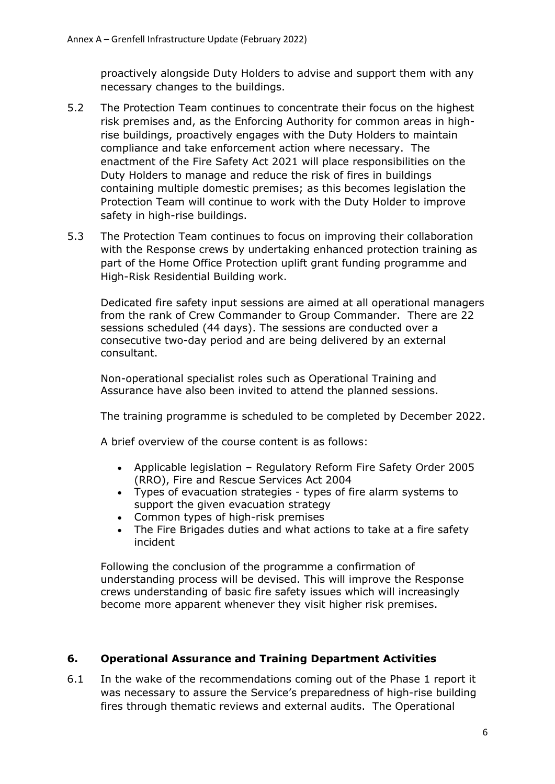proactively alongside Duty Holders to advise and support them with any necessary changes to the buildings.

- 5.2 The Protection Team continues to concentrate their focus on the highest risk premises and, as the Enforcing Authority for common areas in highrise buildings, proactively engages with the Duty Holders to maintain compliance and take enforcement action where necessary. The enactment of the Fire Safety Act 2021 will place responsibilities on the Duty Holders to manage and reduce the risk of fires in buildings containing multiple domestic premises; as this becomes legislation the Protection Team will continue to work with the Duty Holder to improve safety in high-rise buildings.
- 5.3 The Protection Team continues to focus on improving their collaboration with the Response crews by undertaking enhanced protection training as part of the Home Office Protection uplift grant funding programme and High-Risk Residential Building work.

Dedicated fire safety input sessions are aimed at all operational managers from the rank of Crew Commander to Group Commander. There are 22 sessions scheduled (44 days). The sessions are conducted over a consecutive two-day period and are being delivered by an external consultant.

Non-operational specialist roles such as Operational Training and Assurance have also been invited to attend the planned sessions.

The training programme is scheduled to be completed by December 2022.

A brief overview of the course content is as follows:

- Applicable legislation Regulatory Reform Fire Safety Order 2005 (RRO), Fire and Rescue Services Act 2004
- Types of evacuation strategies types of fire alarm systems to support the given evacuation strategy
- Common types of high-risk premises
- The Fire Brigades duties and what actions to take at a fire safety incident

Following the conclusion of the programme a confirmation of understanding process will be devised. This will improve the Response crews understanding of basic fire safety issues which will increasingly become more apparent whenever they visit higher risk premises.

#### **6. Operational Assurance and Training Department Activities**

6.1 In the wake of the recommendations coming out of the Phase 1 report it was necessary to assure the Service's preparedness of high-rise building fires through thematic reviews and external audits. The Operational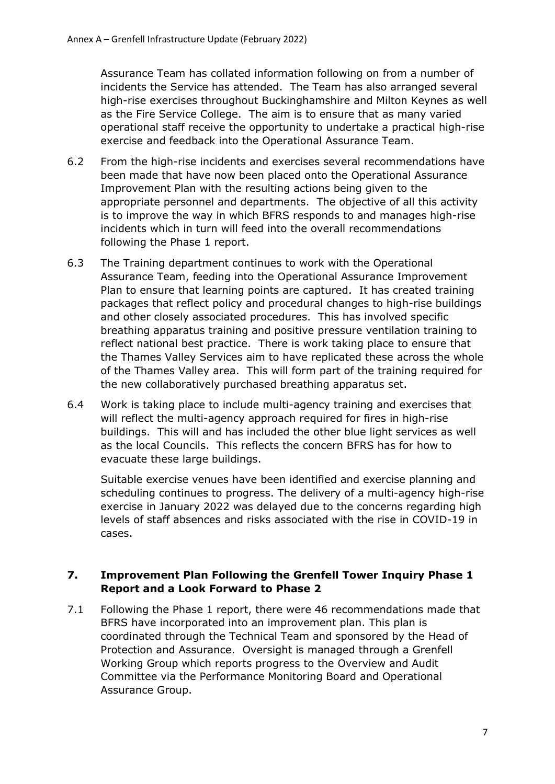Assurance Team has collated information following on from a number of incidents the Service has attended. The Team has also arranged several high-rise exercises throughout Buckinghamshire and Milton Keynes as well as the Fire Service College. The aim is to ensure that as many varied operational staff receive the opportunity to undertake a practical high-rise exercise and feedback into the Operational Assurance Team.

- 6.2 From the high-rise incidents and exercises several recommendations have been made that have now been placed onto the Operational Assurance Improvement Plan with the resulting actions being given to the appropriate personnel and departments. The objective of all this activity is to improve the way in which BFRS responds to and manages high-rise incidents which in turn will feed into the overall recommendations following the Phase 1 report.
- 6.3 The Training department continues to work with the Operational Assurance Team, feeding into the Operational Assurance Improvement Plan to ensure that learning points are captured. It has created training packages that reflect policy and procedural changes to high-rise buildings and other closely associated procedures. This has involved specific breathing apparatus training and positive pressure ventilation training to reflect national best practice. There is work taking place to ensure that the Thames Valley Services aim to have replicated these across the whole of the Thames Valley area. This will form part of the training required for the new collaboratively purchased breathing apparatus set.
- 6.4 Work is taking place to include multi-agency training and exercises that will reflect the multi-agency approach required for fires in high-rise buildings. This will and has included the other blue light services as well as the local Councils. This reflects the concern BFRS has for how to evacuate these large buildings.

Suitable exercise venues have been identified and exercise planning and scheduling continues to progress. The delivery of a multi-agency high-rise exercise in January 2022 was delayed due to the concerns regarding high levels of staff absences and risks associated with the rise in COVID-19 in cases.

### **7. Improvement Plan Following the Grenfell Tower Inquiry Phase 1 Report and a Look Forward to Phase 2**

7.1 Following the Phase 1 report, there were 46 recommendations made that BFRS have incorporated into an improvement plan. This plan is coordinated through the Technical Team and sponsored by the Head of Protection and Assurance. Oversight is managed through a Grenfell Working Group which reports progress to the Overview and Audit Committee via the Performance Monitoring Board and Operational Assurance Group.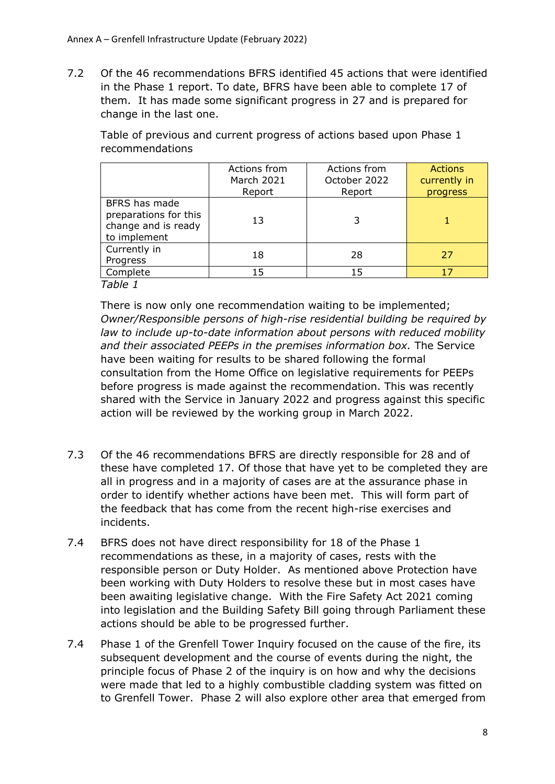7.2 Of the 46 recommendations BFRS identified 45 actions that were identified in the Phase 1 report. To date, BFRS have been able to complete 17 of them. It has made some significant progress in 27 and is prepared for change in the last one.

Table of previous and current progress of actions based upon Phase 1 recommendations

|                                                                               | Actions from<br>March 2021<br>Report | Actions from<br>October 2022<br>Report | <b>Actions</b><br>currently in<br><b>progress</b> |
|-------------------------------------------------------------------------------|--------------------------------------|----------------------------------------|---------------------------------------------------|
| BFRS has made<br>preparations for this<br>change and is ready<br>to implement | 13                                   |                                        |                                                   |
| Currently in<br>Progress                                                      | 18                                   | 28                                     | 27                                                |
| Complete                                                                      | 15                                   | 15                                     |                                                   |

*Table 1*

There is now only one recommendation waiting to be implemented; *Owner/Responsible persons of high-rise residential building be required by law to include up-to-date information about persons with reduced mobility and their associated PEEPs in the premises information box.* The Service have been waiting for results to be shared following the formal consultation from the Home Office on legislative requirements for PEEPs before progress is made against the recommendation. This was recently shared with the Service in January 2022 and progress against this specific action will be reviewed by the working group in March 2022.

- 7.3 Of the 46 recommendations BFRS are directly responsible for 28 and of these have completed 17. Of those that have yet to be completed they are all in progress and in a majority of cases are at the assurance phase in order to identify whether actions have been met. This will form part of the feedback that has come from the recent high-rise exercises and incidents.
- 7.4 BFRS does not have direct responsibility for 18 of the Phase 1 recommendations as these, in a majority of cases, rests with the responsible person or Duty Holder. As mentioned above Protection have been working with Duty Holders to resolve these but in most cases have been awaiting legislative change. With the Fire Safety Act 2021 coming into legislation and the Building Safety Bill going through Parliament these actions should be able to be progressed further.
- 7.4 Phase 1 of the Grenfell Tower Inquiry focused on the cause of the fire, its subsequent development and the course of events during the night, the principle focus of Phase 2 of the inquiry is on how and why the decisions were made that led to a highly combustible cladding system was fitted on to Grenfell Tower. Phase 2 will also explore other area that emerged from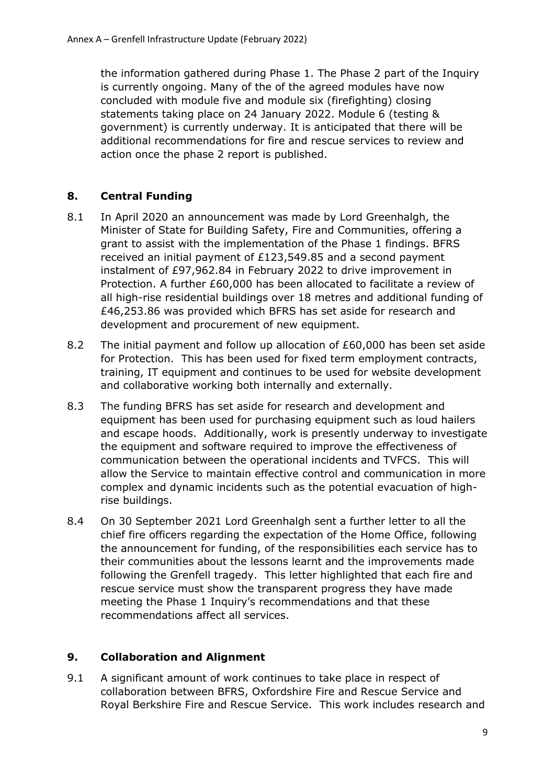the information gathered during Phase 1. The Phase 2 part of the Inquiry is currently ongoing. Many of the of the agreed modules have now concluded with module five and module six (firefighting) closing statements taking place on 24 January 2022. Module 6 (testing & government) is currently underway. It is anticipated that there will be additional recommendations for fire and rescue services to review and action once the phase 2 report is published.

# **8. Central Funding**

- 8.1 In April 2020 an announcement was made by Lord Greenhalgh, the Minister of State for Building Safety, Fire and Communities, offering a grant to assist with the implementation of the Phase 1 findings. BFRS received an initial payment of £123,549.85 and a second payment instalment of £97,962.84 in February 2022 to drive improvement in Protection. A further £60,000 has been allocated to facilitate a review of all high-rise residential buildings over 18 metres and additional funding of £46,253.86 was provided which BFRS has set aside for research and development and procurement of new equipment.
- 8.2 The initial payment and follow up allocation of £60,000 has been set aside for Protection. This has been used for fixed term employment contracts, training, IT equipment and continues to be used for website development and collaborative working both internally and externally.
- 8.3 The funding BFRS has set aside for research and development and equipment has been used for purchasing equipment such as loud hailers and escape hoods. Additionally, work is presently underway to investigate the equipment and software required to improve the effectiveness of communication between the operational incidents and TVFCS. This will allow the Service to maintain effective control and communication in more complex and dynamic incidents such as the potential evacuation of highrise buildings.
- 8.4 On 30 September 2021 Lord Greenhalgh sent a further letter to all the chief fire officers regarding the expectation of the Home Office, following the announcement for funding, of the responsibilities each service has to their communities about the lessons learnt and the improvements made following the Grenfell tragedy. This letter highlighted that each fire and rescue service must show the transparent progress they have made meeting the Phase 1 Inquiry's recommendations and that these recommendations affect all services.

### **9. Collaboration and Alignment**

9.1 A significant amount of work continues to take place in respect of collaboration between BFRS, Oxfordshire Fire and Rescue Service and Royal Berkshire Fire and Rescue Service. This work includes research and